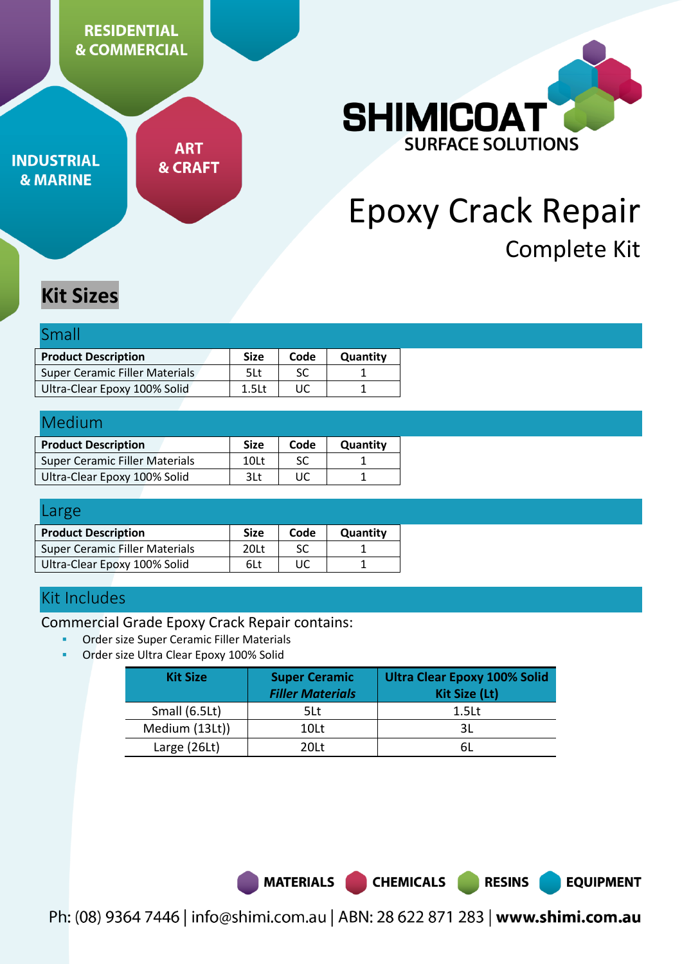**RESIDENTIAL & COMMERCIAL** 

**INDUSTRIAL & MARINE** 

**ART & CRAFT** 



# Epoxy Crack Repair Complete Kit

# **Kit Sizes**

| Small                                 |                   |      |          |
|---------------------------------------|-------------------|------|----------|
| <b>Product Description</b>            | <b>Size</b>       | Code | Quantity |
| <b>Super Ceramic Filler Materials</b> | 5Lt               | SC   |          |
| Ultra-Clear Epoxy 100% Solid          | 1.5 <sub>lt</sub> | UC   |          |

| Medium                                |                  |      |          |
|---------------------------------------|------------------|------|----------|
| <b>Product Description</b>            | <b>Size</b>      | Code | Quantity |
| <b>Super Ceramic Filler Materials</b> | 10 <sub>lt</sub> | SC.  |          |
| Ultra-Clear Epoxy 100% Solid          | 3Lt              | ПC   |          |

| Large                                 |                  |      |          |  |
|---------------------------------------|------------------|------|----------|--|
| <b>Product Description</b>            | <b>Size</b>      | Code | Quantity |  |
| <b>Super Ceramic Filler Materials</b> | 20 <sub>lt</sub> | SC   |          |  |
| Ultra-Clear Epoxy 100% Solid          | 6Lt              | UC   |          |  |

# Kit Includes

Commercial Grade Epoxy Crack Repair contains:

- Order size Super Ceramic Filler Materials
- Order size Ultra Clear Epoxy 100% Solid

| <b>Kit Size</b> | <b>Super Ceramic</b><br><b>Filler Materials</b> | <b>Ultra Clear Epoxy 100% Solid</b><br><b>Kit Size (Lt)</b> |
|-----------------|-------------------------------------------------|-------------------------------------------------------------|
| Small (6.5Lt)   | 5Lt                                             | 1.5 <sub>Lt</sub>                                           |
| Medium (13Lt))  | 10Lt                                            |                                                             |
| Large (26Lt)    | 201 t                                           |                                                             |

**MATERIALS** 

**RESINS** 

**EQUIPMENT** 

Ph: (08) 9364 7446 | info@shimi.com.au | ABN: 28 622 871 283 | www.shimi.com.au

**CHEMICALS**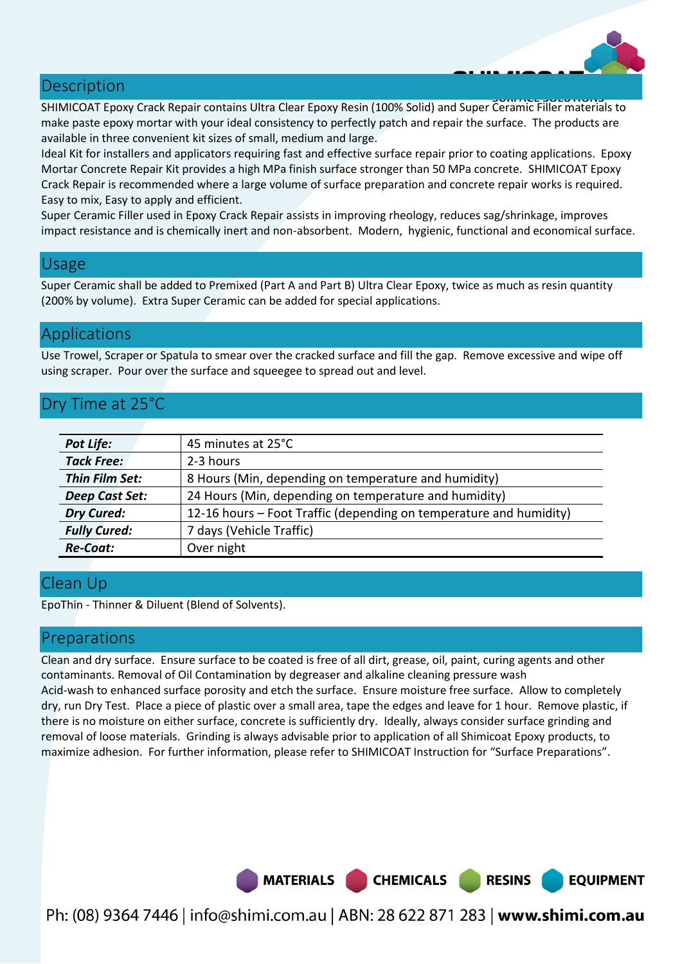#### **Description**

SHIMICOAT Epoxy Crack Repair contains Ultra Clear Epoxy Resin (100% Solid) and Super Ceramic Filler materials to make paste epoxy mortar with your ideal consistency to perfectly patch and repair the surface. The products are available in three convenient kit sizes of small, medium and large.

Ideal Kit for installers and applicators requiring fast and effective surface repair prior to coating applications. Epoxy Mortar Concrete Repair Kit provides a high MPa finish surface stronger than 50 MPa concrete. SHIMICOAT Epoxy Crack Repair is recommended where a large volume of surface preparation and concrete repair works is required. Easy to mix, Easy to apply and efficient.

Super Ceramic Filler used in Epoxy Crack Repair assists in improving rheology, reduces sag/shrinkage, improves impact resistance and is chemically inert and non-absorbent. Modern, hygienic, functional and economical surface.

#### Usage

Super Ceramic shall be added to Premixed (Part A and Part B) Ultra Clear Epoxy, twice as much as resin quantity (200% by volume). Extra Super Ceramic can be added for special applications.

### Applications

Use Trowel, Scraper or Spatula to smear over the cracked surface and fill the gap. Remove excessive and wipe off using scraper. Pour over the surface and squeegee to spread out and level.

# Dry Time at 25°C

| <b>Pot Life:</b>    | 45 minutes at 25°C                                                 |
|---------------------|--------------------------------------------------------------------|
| <b>Tack Free:</b>   | 2-3 hours                                                          |
| Thin Film Set:      | 8 Hours (Min, depending on temperature and humidity)               |
| Deep Cast Set:      | 24 Hours (Min, depending on temperature and humidity)              |
| <b>Dry Cured:</b>   | 12-16 hours – Foot Traffic (depending on temperature and humidity) |
| <b>Fully Cured:</b> | 7 days (Vehicle Traffic)                                           |
| <b>Re-Coat:</b>     | Over night                                                         |

# Clean Up

EpoThin - Thinner & Diluent (Blend of Solvents).

### Preparations

Clean and dry surface. Ensure surface to be coated is free of all dirt, grease, oil, paint, curing agents and other contaminants. Removal of Oil Contamination by degreaser and alkaline cleaning pressure wash Acid-wash to enhanced surface porosity and etch the surface. Ensure moisture free surface. Allow to completely dry, run Dry Test. Place a piece of plastic over a small area, tape the edges and leave for 1 hour. Remove plastic, if there is no moisture on either surface, concrete is sufficiently dry. Ideally, always consider surface grinding and removal of loose materials. Grinding is always advisable prior to application of all Shimicoat Epoxy products, to maximize adhesion. For further information, please refer to SHIMICOAT Instruction for "Surface Preparations".



**EQUIPMENT** 

Ph: (08) 9364 7446 | info@shimi.com.au | ABN: 28 622 871 283 | www.shimi.com.au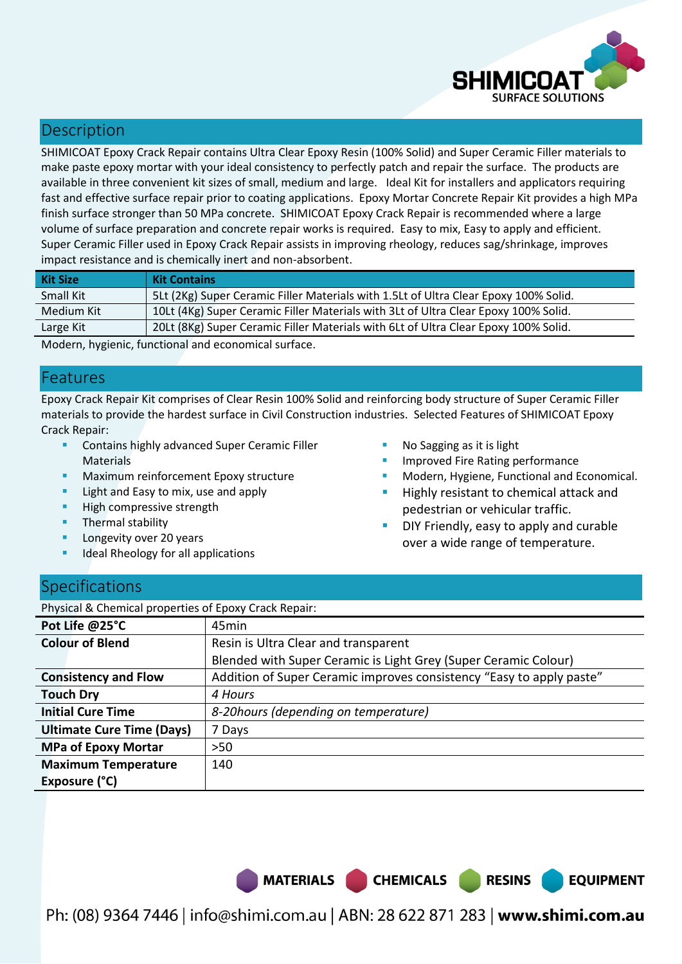

# **Description**

SHIMICOAT Epoxy Crack Repair contains Ultra Clear Epoxy Resin (100% Solid) and Super Ceramic Filler materials to make paste epoxy mortar with your ideal consistency to perfectly patch and repair the surface. The products are available in three convenient kit sizes of small, medium and large. Ideal Kit for installers and applicators requiring fast and effective surface repair prior to coating applications. Epoxy Mortar Concrete Repair Kit provides a high MPa finish surface stronger than 50 MPa concrete. SHIMICOAT Epoxy Crack Repair is recommended where a large volume of surface preparation and concrete repair works is required. Easy to mix, Easy to apply and efficient. Super Ceramic Filler used in Epoxy Crack Repair assists in improving rheology, reduces sag/shrinkage, improves impact resistance and is chemically inert and non-absorbent.

| <b>Kit Size</b> | <b>Kit Contains</b>                                                                  |
|-----------------|--------------------------------------------------------------------------------------|
| Small Kit       | 5Lt (2Kg) Super Ceramic Filler Materials with 1.5Lt of Ultra Clear Epoxy 100% Solid. |
| Medium Kit      | 10Lt (4Kg) Super Ceramic Filler Materials with 3Lt of Ultra Clear Epoxy 100% Solid.  |
| Large Kit       | 20Lt (8Kg) Super Ceramic Filler Materials with 6Lt of Ultra Clear Epoxy 100% Solid.  |

Modern, hygienic, functional and economical surface.

## Features

Epoxy Crack Repair Kit comprises of Clear Resin 100% Solid and reinforcing body structure of Super Ceramic Filler materials to provide the hardest surface in Civil Construction industries. Selected Features of SHIMICOAT Epoxy Crack Repair:

- **E** Contains highly advanced Super Ceramic Filler **Materials**
- Maximum reinforcement Epoxy structure
- Light and Easy to mix, use and apply
- High compressive strength
- **Thermal stability**
- Longevity over 20 years
- Ideal Rheology for all applications
- No Sagging as it is light
- Improved Fire Rating performance
- Modern, Hygiene, Functional and Economical.
- Highly resistant to chemical attack and pedestrian or vehicular traffic.
- DIY Friendly, easy to apply and curable over a wide range of temperature.

**RESINS** 

**EQUIPMENT** 

### **Specifications**

Physical & Chemical properties of Epoxy Crack Repair:

| Pot Life @25°C                   | 45 <sub>min</sub>                                                    |
|----------------------------------|----------------------------------------------------------------------|
| <b>Colour of Blend</b>           | Resin is Ultra Clear and transparent                                 |
|                                  | Blended with Super Ceramic is Light Grey (Super Ceramic Colour)      |
| <b>Consistency and Flow</b>      | Addition of Super Ceramic improves consistency "Easy to apply paste" |
| <b>Touch Dry</b>                 | 4 Hours                                                              |
| <b>Initial Cure Time</b>         | 8-20 hours (depending on temperature)                                |
| <b>Ultimate Cure Time (Days)</b> | 7 Days                                                               |
| <b>MPa of Epoxy Mortar</b>       | $>50$                                                                |
| <b>Maximum Temperature</b>       | 140                                                                  |
| Exposure (°C)                    |                                                                      |

MATERIALS CHEMICALS

Ph: (08) 9364 7446 | info@shimi.com.au | ABN: 28 622 871 283 | www.shimi.com.au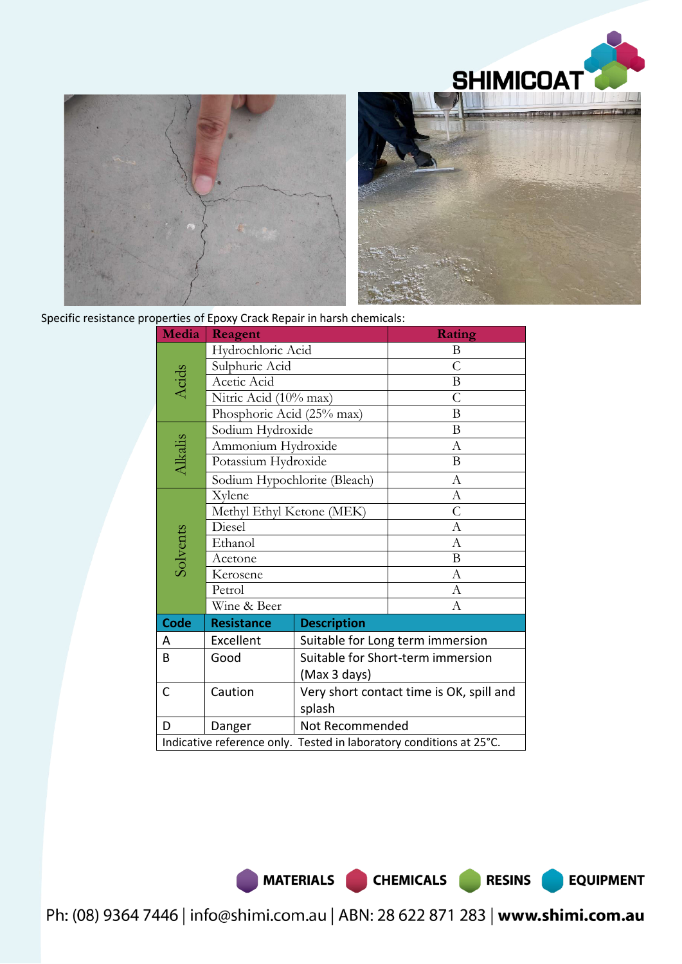



Specific resistance properties of Epoxy Crack Repair in harsh chemicals:

| Media                                                               | Reagent                      |                                          | Rating           |  |
|---------------------------------------------------------------------|------------------------------|------------------------------------------|------------------|--|
| Hydrochloric Acid                                                   |                              |                                          | B                |  |
|                                                                     | Sulphuric Acid               |                                          | C                |  |
| Acids                                                               | Acetic Acid                  |                                          | $\, {\bf B}$     |  |
|                                                                     | Nitric Acid (10% max)        |                                          | $\overline{C}$   |  |
|                                                                     | Phosphoric Acid (25% max)    |                                          | B                |  |
|                                                                     | Sodium Hydroxide             |                                          | B                |  |
|                                                                     | Ammonium Hydroxide           |                                          | $\boldsymbol{A}$ |  |
| Alkalis                                                             | Potassium Hydroxide          |                                          | B                |  |
|                                                                     | Sodium Hypochlorite (Bleach) |                                          | A                |  |
| Xylene                                                              |                              |                                          | $\mathbf{A}$     |  |
|                                                                     | Methyl Ethyl Ketone (MEK)    |                                          | $\overline{C}$   |  |
|                                                                     | Diesel                       |                                          | $\boldsymbol{A}$ |  |
| Solvents                                                            | Ethanol                      |                                          | $\mathbf{A}$     |  |
|                                                                     | Acetone                      |                                          | B                |  |
|                                                                     | Kerosene                     |                                          | $\boldsymbol{A}$ |  |
|                                                                     | Petrol                       |                                          | $\mathbf{A}$     |  |
|                                                                     | Wine & Beer                  |                                          | A                |  |
| <b>Code</b>                                                         | <b>Resistance</b>            | <b>Description</b>                       |                  |  |
| A                                                                   | Excellent                    | Suitable for Long term immersion         |                  |  |
| B                                                                   | Good                         | Suitable for Short-term immersion        |                  |  |
|                                                                     |                              | (Max 3 days)                             |                  |  |
| C                                                                   | Caution                      | Very short contact time is OK, spill and |                  |  |
|                                                                     |                              | splash                                   |                  |  |
| D                                                                   | Danger                       | Not Recommended                          |                  |  |
| Indicative reference only. Tested in laboratory conditions at 25°C. |                              |                                          |                  |  |

**EQUIPMENT** 

Ph: (08) 9364 7446 | info@shimi.com.au | ABN: 28 622 871 283 | www.shimi.com.au

MATERIALS CHEMICALS RESINS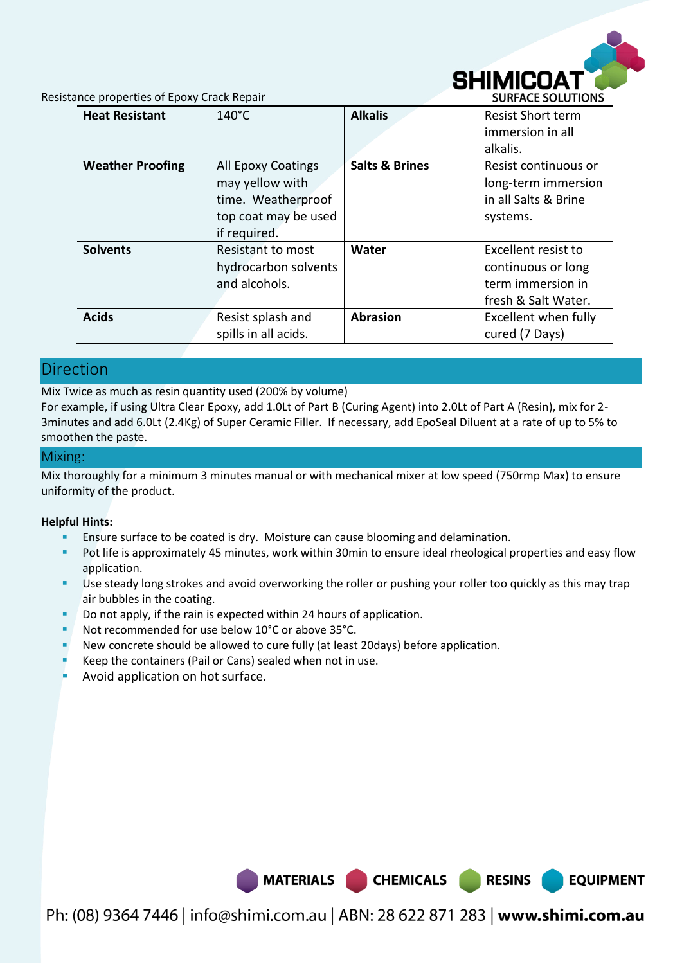

**EQUIPMENT** 

Resistance properties of Epoxy Crack Repair

| <b>Heat Resistant</b>   | $140^{\circ}$ C                                                                                            | <b>Alkalis</b>            | <b>Resist Short term</b><br>immersion in all<br>alkalis.                              |
|-------------------------|------------------------------------------------------------------------------------------------------------|---------------------------|---------------------------------------------------------------------------------------|
| <b>Weather Proofing</b> | <b>All Epoxy Coatings</b><br>may yellow with<br>time. Weatherproof<br>top coat may be used<br>if required. | <b>Salts &amp; Brines</b> | Resist continuous or<br>long-term immersion<br>in all Salts & Brine<br>systems.       |
| <b>Solvents</b>         | Resistant to most<br>hydrocarbon solvents<br>and alcohols.                                                 | Water                     | Excellent resist to<br>continuous or long<br>term immersion in<br>fresh & Salt Water. |
| <b>Acids</b>            | Resist splash and<br>spills in all acids.                                                                  | <b>Abrasion</b>           | Excellent when fully<br>cured (7 Days)                                                |

### Direction

Mix Twice as much as resin quantity used (200% by volume)

For example, if using Ultra Clear Epoxy, add 1.0Lt of Part B (Curing Agent) into 2.0Lt of Part A (Resin), mix for 2- 3minutes and add 6.0Lt (2.4Kg) of Super Ceramic Filler. If necessary, add EpoSeal Diluent at a rate of up to 5% to smoothen the paste.

#### Mixing:

Mix thoroughly for a minimum 3 minutes manual or with mechanical mixer at low speed (750rmp Max) to ensure uniformity of the product.

#### **Helpful Hints:**

- Ensure surface to be coated is dry. Moisture can cause blooming and delamination.
- Pot life is approximately 45 minutes, work within 30min to ensure ideal rheological properties and easy flow application.
- Use steady long strokes and avoid overworking the roller or pushing your roller too quickly as this may trap air bubbles in the coating.
- Do not apply, if the rain is expected within 24 hours of application.
- Not recommended for use below 10°C or above 35°C.
- New concrete should be allowed to cure fully (at least 20days) before application.
- Keep the containers (Pail or Cans) sealed when not in use.
- Avoid application on hot surface.



Ph: (08) 9364 7446 | info@shimi.com.au | ABN: 28 622 871 283 | www.shimi.com.au